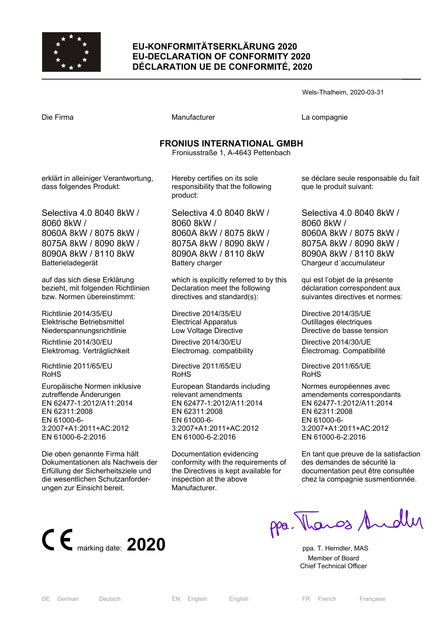

## **EU-KONFORMITÄTSERKLÄRUNG 2020 EU-DECLARATION OF CONFORMITY 2020 DÉCLARATION UE DE CONFORMITÉ, 2020**

Wels-Thalheim, 2020-03-31

Die Firma Manufacturer La compagnie

## **FRONIUS INTERNATIONAL GMBH**

Froniusstraße 1, A-4643 Pettenbach

erklärt in alleiniger Verantwortung, dass folgendes Produkt:

Selectiva 4.0 8040 8kW / 8060 8kW / 8060A 8kW / 8075 8kW / 8075A 8kW / 8090 8kW / 8090A 8kW / 8110 8kW Batterieladegerät

auf das sich diese Erklärung bezieht, mit folgenden Richtlinien bzw. Normen übereinstimmt:

Richtlinie 2014/35/EU Elektrische Betriebsmittel Niederspannungsrichtlinie

Richtlinie 2014/30/EU Elektromag. Verträglichkeit

Richtlinie 2011/65/EU RoHS

Europäische Normen inklusive zutreffende Änderungen EN 62477-1:2012/A11:2014 EN 62311:2008 EN 61000-6- 3:2007+A1:2011+AC:2012 EN 61000-6-2:2016

Die oben genannte Firma hält Dokumentationen als Nachweis der Erfüllung der Sicherheitsziele und die wesentlichen Schutzanforderungen zur Einsicht bereit.

Hereby certifies on its sole responsibility that the following product:

Selectiva 4.0 8040 8kW / 8060 8kW / 8060A 8kW / 8075 8kW / 8075A 8kW / 8090 8kW / 8090A 8kW / 8110 8kW Battery charger

which is explicitly referred to by this Declaration meet the following directives and standard(s):

Directive 2014/35/EU Electrical Apparatus Low Voltage Directive

Directive 2014/30/EU Electromag. compatibility

Directive 2011/65/EU RoHS

European Standards including relevant amendments EN 62477-1:2012/A11:2014 EN 62311:2008 EN 61000-6- 3:2007+A1:2011+AC:2012 EN 61000-6-2:2016

Documentation evidencing conformity with the requirements of the Directives is kept available for inspection at the above Manufacturer.

se déclare seule responsable du fait que le produit suivant:

Selectiva 4.0 8040 8kW / 8060 8kW / 8060A 8kW / 8075 8kW / 8075A 8kW / 8090 8kW / 8090A 8kW / 8110 8kW Chargeur d´accumulateur

qui est l'objet de la présente déclaration correspondent aux suivantes directives et normes:

Directive 2014/35/UE Outillages électriques Directive de basse tension

Directive 2014/30/UE Électromag. Compatibilité

Directive 2011/65/UE RoHS

Normes européennes avec amendements correspondants EN 62477-1:2012/A11:2014 EN 62311:2008 EN 61000-6- 3:2007+A1:2011+AC:2012 EN 61000-6-2:2016

En tant que preuve de la satisfaction des demandes de sécurité la documentation peut être consultée chez la compagnie susmentionnée.



ppa. Thangs Andly

 Member of Board Chief Technical Officer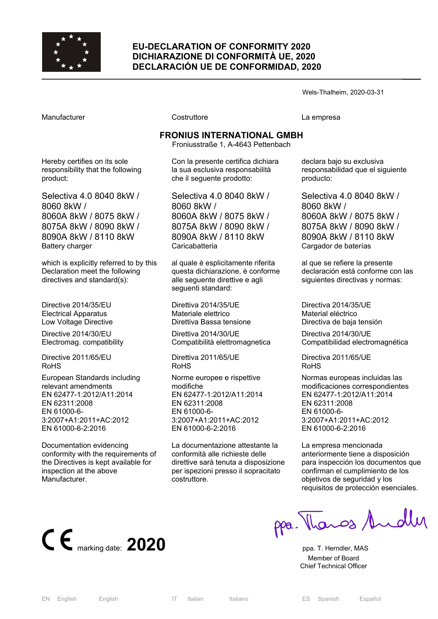

## **EU-DECLARATION OF CONFORMITY 2020 DICHIARAZIONE DI CONFORMITÀ UE, 2020 DECLARACIÓN UE DE CONFORMIDAD, 2020**

Wels-Thalheim, 2020-03-31

Manufacturer Costruttore La empresa

# **FRONIUS INTERNATIONAL GMBH**

Froniusstraße 1, A-4643 Pettenbach

Hereby certifies on its sole responsibility that the following product:

Selectiva 4.0 8040 8kW / 8060 8kW / 8060A 8kW / 8075 8kW / 8075A 8kW / 8090 8kW / 8090A 8kW / 8110 8kW Battery charger

which is explicitly referred to by this Declaration meet the following directives and standard(s):

Directive 2014/35/EU Electrical Apparatus Low Voltage Directive

Directive 2014/30/EU Electromag. compatibility

Directive 2011/65/EU RoHS

European Standards including relevant amendments EN 62477-1:2012/A11:2014 EN 62311:2008 EN 61000-6- 3:2007+A1:2011+AC:2012 EN 61000-6-2:2016

Documentation evidencing conformity with the requirements of the Directives is kept available for inspection at the above Manufacturer.

Con la presente certifica dichiara la sua esclusiva responsabilità

che il seguente prodotto:

Selectiva 4.0 8040 8kW / 8060 8kW / 8060A 8kW / 8075 8kW / 8075A 8kW / 8090 8kW / 8090A 8kW / 8110 8kW Caricabatteria

al quale è esplicitamente riferita questa dichiarazione, è conforme alle seguente direttive e agli seguenti standard:

Direttiva 2014/35/UE Materiale elettrico Direttiva Bassa tensione

Direttiva 2014/30/UE Compatibilità elettromagnetica

Direttiva 2011/65/UE RoHS

Norme europee e rispettive modifiche EN 62477-1:2012/A11:2014 EN 62311:2008 EN 61000-6- 3:2007+A1:2011+AC:2012 EN 61000-6-2:2016

La documentazione attestante la conformità alle richieste delle direttive sarà tenuta a disposizione per ispezioni presso il sopracitato costruttore.

declara bajo su exclusiva responsabilidad que el siguiente producto:

Selectiva 4.0 8040 8kW / 8060 8kW / 8060A 8kW / 8075 8kW / 8075A 8kW / 8090 8kW / 8090A 8kW / 8110 8kW Cargador de baterías

al que se refiere la presente declaración está conforme con las siguientes directivas y normas:

Directiva 2014/35/UE Material eléctrico Directiva de baja tensión

Directiva 2014/30/UE Compatibilidad electromagnética

Directiva 2011/65/UE RoHS

Normas europeas incluidas las modificaciones correspondientes EN 62477-1:2012/A11:2014 EN 62311:2008 EN 61000-6- 3:2007+A1:2011+AC:2012 EN 61000-6-2:2016

La empresa mencionada anteriormente tiene a disposición para inspección los documentos que confirman el cumplimiento de los objetivos de seguridad y los requisitos de protección esenciales.



ppa. Thangs Andley

 Member of Board Chief Technical Officer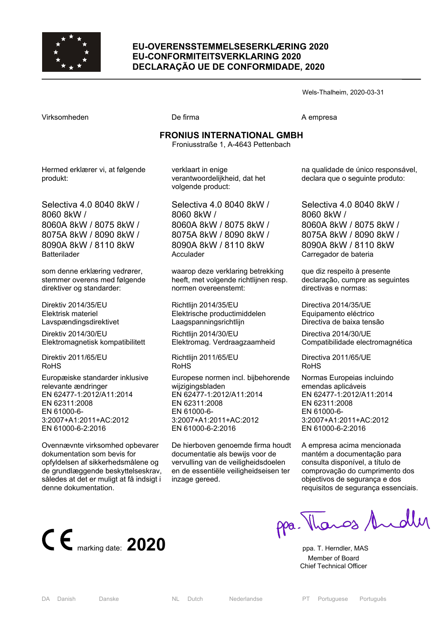

## **EU-OVERENSSTEMMELSESERKLÆRING 2020 EU-CONFORMITEITSVERKLARING 2020 DECLARAÇÃO UE DE CONFORMIDADE, 2020**

Wels-Thalheim, 2020-03-31

Virksomheden De firma A empresa

## **FRONIUS INTERNATIONAL GMBH**

Froniusstraße 1, A-4643 Pettenbach

Hermed erklærer vi, at følgende produkt:

Selectiva 4.0 8040 8kW / 8060 8kW / 8060A 8kW / 8075 8kW / 8075A 8kW / 8090 8kW / 8090A 8kW / 8110 8kW Batterilader

som denne erklæring vedrører, stemmer overens med følgende direktiver og standarder:

Direktiv 2014/35/EU Elektrisk materiel Lavspændingsdirektivet

Direktiv 2014/30/EU Elektromagnetisk kompatibilitett

Direktiv 2011/65/EU RoHS

Europæiske standarder inklusive relevante ændringer EN 62477-1:2012/A11:2014 EN 62311:2008 EN 61000-6- 3:2007+A1:2011+AC:2012 EN 61000-6-2:2016

Ovennævnte virksomhed opbevarer dokumentation som bevis for opfyldelsen af sikkerhedsmålene og de grundlæggende beskyttelseskrav, således at det er muligt at få indsigt i denne dokumentation.

verklaart in enige verantwoordelijkheid, dat het volgende product:

Selectiva 4.0 8040 8kW / 8060 8kW / 8060A 8kW / 8075 8kW / 8075A 8kW / 8090 8kW / 8090A 8kW / 8110 8kW Acculader

waarop deze verklaring betrekking heeft, met volgende richtlijnen resp. normen overeenstemt:

Richtlijn 2014/35/EU Elektrische productimiddelen Laagspanningsrichtlijn

Richtlijn 2014/30/EU Elektromag. Verdraagzaamheid

Richtlijn 2011/65/EU RoHS

Europese normen incl. bijbehorende wijzigingsbladen EN 62477-1:2012/A11:2014 EN 62311:2008 EN 61000-6- 3:2007+A1:2011+AC:2012 EN 61000-6-2:2016

De hierboven genoemde firma houdt documentatie als bewijs voor de vervulling van de veiligheidsdoelen en de essentiële veiligheidseisen ter inzage gereed.

na qualidade de único responsável, declara que o seguinte produto:

Selectiva 4.0 8040 8kW / 8060 8kW / 8060A 8kW / 8075 8kW / 8075A 8kW / 8090 8kW / 8090A 8kW / 8110 8kW Carregador de bateria

que diz respeito à presente declaração, cumpre as seguintes directivas e normas:

Directiva 2014/35/UE Equipamento eléctrico Directiva de baixa tensão

Directiva 2014/30/UE Compatibilidade electromagnética

Directiva 2011/65/UE RoHS

Normas Europeias incluindo emendas aplicáveis EN 62477-1:2012/A11:2014 EN 62311:2008 EN 61000-6- 3:2007+A1:2011+AC:2012 EN 61000-6-2:2016

A empresa acima mencionada mantém a documentação para consulta disponível, a título de comprovação do cumprimento dos objectivos de segurança e dos requisitos de segurança essenciais.

**C**  $\epsilon$  marking date: **2020 ppa. T. Herndler, MAS** 

ppa. Thanos Andly

 Member of Board Chief Technical Officer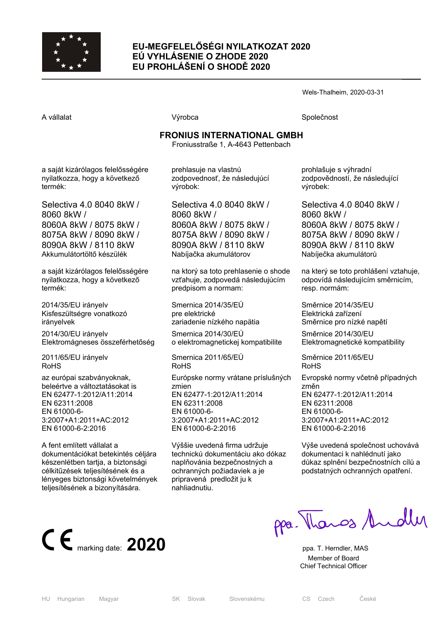

## **EU-MEGFELELŐSÉGI NYILATKOZAT 2020 EÚ VYHLÁSENIE O ZHODE 2020 EU PROHLÁŠENÍ O SHODĚ 2020**

Wels-Thalheim, 2020-03-31

A vállalat **A** vállalat Společnost **Výrobca** Společnost Společnost Společnost Společnost Společnost Společnost Společnost Společnost Společnost Společnost Společnost Společnost Společnost Společnost Společnost Společnost S

# **FRONIUS INTERNATIONAL GMBH**

Froniusstraße 1, A-4643 Pettenbach

a saját kizárólagos felelősségére nyilatkozza, hogy a következő termék:

Selectiva 4.0 8040 8kW / 8060 8kW / 8060A 8kW / 8075 8kW / 8075A 8kW / 8090 8kW / 8090A 8kW / 8110 8kW Akkumulátortöltő készülék

a saját kizárólagos felelősségére nyilatkozza, hogy a következő termék:

2014/35/EU irányelv Kisfeszültségre vonatkozó irányelvek

2014/30/EU irányelv Elektromágneses összeférhetőség

2011/65/EU irányelv RoHS

az európai szabványoknak, beleértve a változtatásokat is EN 62477-1:2012/A11:2014 EN 62311:2008 EN 61000-6- 3:2007+A1:2011+AC:2012 EN 61000-6-2:2016

A fent említett vállalat a dokumentációkat betekintés céljára készenlétben tartja, a biztonsági célkitűzések teljesítésének és a lényeges biztonsági követelmények teljesítésének a bizonyítására.

prehlasuje na vlastnú zodpovednosť, že následujúcí výrobok:

Selectiva 4.0 8040 8kW / 8060 8kW / 8060A 8kW / 8075 8kW / 8075A 8kW / 8090 8kW / 8090A 8kW / 8110 8kW Nabíjačka akumulátorov

na ktorý sa toto prehlasenie o shode vzťahuje, zodpovedá následujúcím predpisom a normam:

Smernica 2014/35/EÚ pre elektrické zariadenie nízkého napätia

Smernica 2014/30/EÚ o elektromagnetickej kompatibilite

Smernica 2011/65/EÚ RoHS

Európske normy vrátane príslušných zmien EN 62477-1:2012/A11:2014 EN 62311:2008 EN 61000-6- 3:2007+A1:2011+AC:2012 EN 61000-6-2:2016

Výššie uvedená firma udržuje technickú dokumentáciu ako dókaz naplňovánia bezpečnostných a ochranných požiadaviek a je pripravená predložit ju k nahliadnutiu.

prohlašuje s výhradní zodpovědností, že následující výrobek:

Selectiva 4.0 8040 8kW / 8060 8kW / 8060A 8kW / 8075 8kW / 8075A 8kW / 8090 8kW / 8090A 8kW / 8110 8kW Nabíječka akumulátorů

na který se toto prohlášení vztahuje, odpovídá následujícím směrnicím, resp. normám:

Směrnice 2014/35/EU Elektrická zařízení Směrnice pro nízké napětí

Směrnice 2014/30/EU Elektromagnetické kompatibility

Směrnice 2011/65/EU RoHS

Evropské normy včetně případných změn EN 62477-1:2012/A11:2014 EN 62311:2008 EN 61000-6- 3:2007+A1:2011+AC:2012 EN 61000-6-2:2016

Výše uvedená společnost uchovává dokumentaci k nahlédnutí jako důkaz splnění bezpečnostních cílů a podstatných ochranných opatření.

**C**  $\epsilon$  marking date: **2020 ppa. T. Herndler, MAS** 

ppa. Thangs Andley

 Member of Board Chief Technical Officer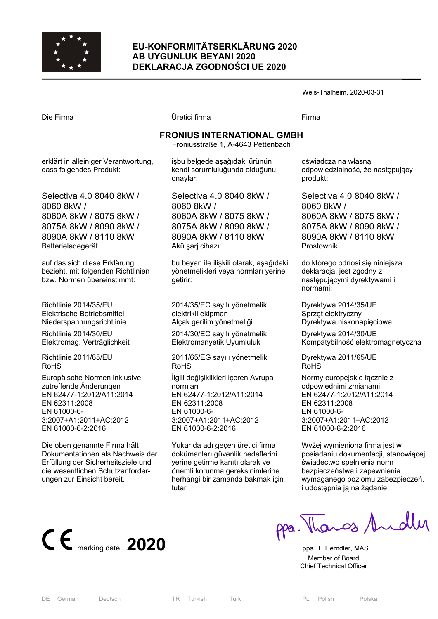

## **EU-KONFORMITÄTSERKLÄRUNG 2020 AB UYGUNLUK BEYANI 2020 DEKLARACJA ZGODNOŚCI UE 2020**

Wels-Thalheim, 2020-03-31

Die Firma Üretici firma Firma

# **FRONIUS INTERNATIONAL GMBH**

Froniusstraße 1, A-4643 Pettenbach

erklärt in alleiniger Verantwortung, dass folgendes Produkt:

Selectiva 4.0 8040 8kW / 8060 8kW / 8060A 8kW / 8075 8kW / 8075A 8kW / 8090 8kW / 8090A 8kW / 8110 8kW Batterieladegerät

auf das sich diese Erklärung bezieht, mit folgenden Richtlinien bzw. Normen übereinstimmt:

Richtlinie 2014/35/EU Elektrische Betriebsmittel Niederspannungsrichtlinie

Richtlinie 2014/30/EU Elektromag. Verträglichkeit

Richtlinie 2011/65/EU RoHS

Europäische Normen inklusive zutreffende Änderungen EN 62477-1:2012/A11:2014 EN 62311:2008 EN 61000-6- 3:2007+A1:2011+AC:2012 EN 61000-6-2:2016

Die oben genannte Firma hält Dokumentationen als Nachweis der Erfüllung der Sicherheitsziele und die wesentlichen Schutzanforderungen zur Einsicht bereit.

işbu belgede aşağıdaki ürünün kendi sorumluluğunda olduğunu onaylar:

Selectiva 4.0 8040 8kW / 8060 8kW / 8060A 8kW / 8075 8kW / 8075A 8kW / 8090 8kW / 8090A 8kW / 8110 8kW Akü şarj cihazı

bu beyan ile ilişkili olarak, aşağıdaki yönetmelikleri veya normları yerine getirir:

2014/35/EC sayılı yönetmelik elektrikli ekipman Alçak gerilim yönetmeliği

2014/30/EC sayılı yönetmelik Elektromanyetik Uyumluluk

2011/65/EG sayılı yönetmelik RoHS

İlgili değişiklikleri içeren Avrupa normları EN 62477-1:2012/A11:2014 EN 62311:2008 EN 61000-6- 3:2007+A1:2011+AC:2012 EN 61000-6-2:2016

Yukarıda adı geçen üretici firma dokümanları güvenlik hedeflerini yerine getirme kanıtı olarak ve önemli korunma gereksinimlerine herhangi bir zamanda bakmak için tutar

oświadcza na własną odpowiedzialność, że następujący produkt:

Selectiva 4.0 8040 8kW / 8060 8kW / 8060A 8kW / 8075 8kW / 8075A 8kW / 8090 8kW / 8090A 8kW / 8110 8kW Prostownik

do którego odnosi się niniejsza deklaracja, jest zgodny z następującymi dyrektywami i normami:

Dyrektywa 2014/35/UE Sprzęt elektryczny – Dyrektywa niskonapięciowa

Dyrektywa 2014/30/UE Kompatybilność elektromagnetyczna

Dyrektywa 2011/65/UE RoHS

Normy europejskie łącznie z odpowiednimi zmianami EN 62477-1:2012/A11:2014 EN 62311:2008 EN 61000-6- 3:2007+A1:2011+AC:2012 EN 61000-6-2:2016

Wyżej wymieniona firma jest w posiadaniu dokumentacji, stanowiącej świadectwo spełnienia norm bezpieczeństwa i zapewnienia wymaganego poziomu zabezpieczeń, i udostępnia ją na żądanie.



ppa. Thangs Andles

 Member of Board Chief Technical Officer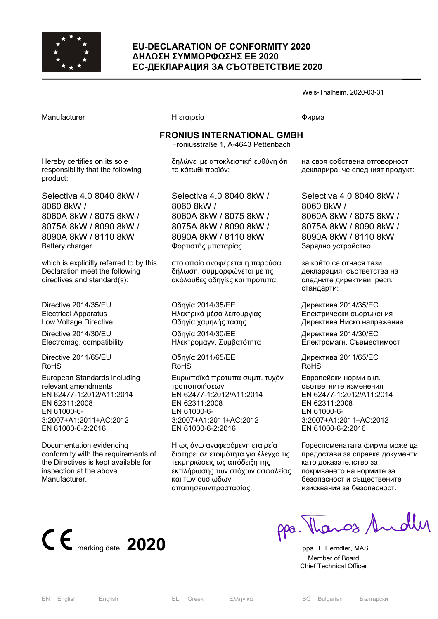

### **EU-DECLARATION OF CONFORMITY 2020 ΔΗΛΩΣΗ ΣΥΜΜΟΡΦΩΣΗΣ ΕΕ 2020 ЕС-ДЕКЛАРАЦИЯ ЗА СЪОТВЕТСТВИЕ 2020**

Wels-Thalheim, 2020-03-31

Manufacturer **Η εταιρεία** Η εταιρεία **Παραγωγική παιρεία** Φισου

# **FRONIUS INTERNATIONAL GMBH**

Froniusstraße 1, A-4643 Pettenbach

Hereby certifies on its sole responsibility that the following product:

Selectiva 4.0 8040 8kW / 8060 8kW / 8060A 8kW / 8075 8kW / 8075A 8kW / 8090 8kW / 8090A 8kW / 8110 8kW Battery charger

which is explicitly referred to by this Declaration meet the following directives and standard(s):

Directive 2014/35/EU Electrical Apparatus Low Voltage Directive

Directive 2014/30/EU Electromag. compatibility

Directive 2011/65/EU RoHS

European Standards including relevant amendments EN 62477-1:2012/A11:2014 EN 62311:2008 EN 61000-6- 3:2007+A1:2011+AC:2012 EN 61000-6-2:2016

Documentation evidencing conformity with the requirements of the Directives is kept available for inspection at the above Manufacturer.

δηλώνει με αποκλειστική ευθύνη ότι το κάτωθι προϊόν:

Selectiva 4.0 8040 8kW / 8060 8kW / 8060A 8kW / 8075 8kW / 8075A 8kW / 8090 8kW / 8090A 8kW / 8110 8kW Φορτιστής μπαταρίας

στο οποίο αναφέρεται η παρούσα δήλωση, συμμορφώνεται με τις ακόλουθες οδηγίες και πρότυπα:

Οδηγία 2014/35/EE Ηλεκτρικά μέσα λειτουργίας Οδηγία χαμηλής τάσης Οδηγία 2014/30/EE

Ηλεκτρομαγν. Συμβατότητα

Οδηγία 2011/65/EE RoHS

Ευρωπαϊκά πρότυπα συμπ. τυχόν τροποποιήσεων EN 62477-1:2012/A11:2014 EN 62311:2008 EN 61000-6- 3:2007+A1:2011+AC:2012 EN 61000-6-2:2016

Η ως άνω αναφερόμενη εταιρεία διατηρεί σε ετοιμότητα για έλεγχο τις τεκμηριώσεις ως απόδειξη της εκπλήρωσης των στόχων ασφαλείας και των ουσιωδών απαιτήσεωνπροστασίας.

на своя собствена отговорност декларира, че следният продукт:

Selectiva 4.0 8040 8kW / 8060 8kW / 8060A 8kW / 8075 8kW / 8075A 8kW / 8090 8kW / 8090A 8kW / 8110 8kW Зарядно устройство

за който се отнася тази декларация, съответства на следните директиви, респ. стандарти:

Директива 2014/35/ЕC Електрически съоръжения Директива Ниско напрежение

Директива 2014/30/ЕC Електромагн. Съвместимост

Директива 2011/65/EC RoHS

Европейски норми вкл. съответните изменения EN 62477-1:2012/A11:2014 EN 62311:2008 EN 61000-6- 3:2007+A1:2011+AC:2012 EN 61000-6-2:2016

Гореспоменатата фирма може да предостави за справка документи като доказателство за покриването на нормите за безопасност и съществените изисквания за безопасност.



 Member of Board Chief Technical Officer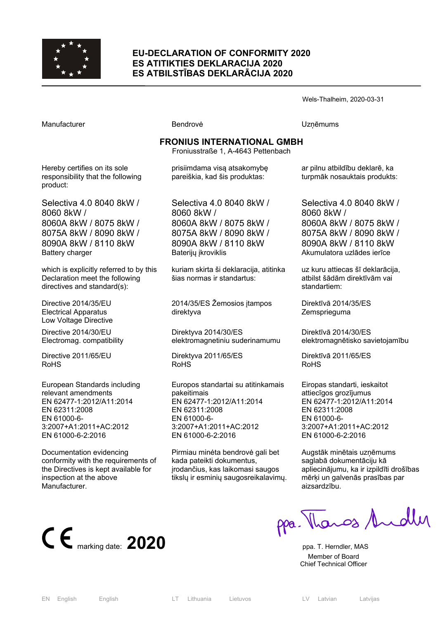

#### **EU-DECLARATION OF CONFORMITY 2020 ES ATITIKTIES DEKLARACIJA 2020 ES ATBILSTĪBAS DEKLARĀCIJA 2020**

#### Wels-Thalheim, 2020-03-31

Manufacturer **Manufacturer Execute Uzņēmums** Bendrovė **V**zņēmums

## **FRONIUS INTERNATIONAL GMBH**

Hereby certifies on its sole responsibility that the following product:

Selectiva 4.0 8040 8kW / 8060 8kW / 8060A 8kW / 8075 8kW / 8075A 8kW / 8090 8kW / 8090A 8kW / 8110 8kW Battery charger

which is explicitly referred to by this Declaration meet the following directives and standard(s):

Directive 2014/35/EU Electrical Apparatus Low Voltage Directive

Directive 2014/30/EU Electromag. compatibility

Directive 2011/65/EU RoHS

European Standards including relevant amendments EN 62477-1:2012/A11:2014 EN 62311:2008 EN 61000-6- 3:2007+A1:2011+AC:2012 EN 61000-6-2:2016

Documentation evidencing conformity with the requirements of the Directives is kept available for inspection at the above Manufacturer.

Froniusstraße 1, A-4643 Pettenbach

prisiimdama visą atsakomybę pareiškia, kad šis produktas:

Selectiva 4.0 8040 8kW / 8060 8kW / 8060A 8kW / 8075 8kW / 8075A 8kW / 8090 8kW / 8090A 8kW / 8110 8kW Baterijų įkroviklis

kuriam skirta ši deklaracija, atitinka šias normas ir standartus:

2014/35/ES Žemosios įtampos direktyva

Direktyva 2014/30/ES elektromagnetiniu suderinamumu

Direktyva 2011/65/ES RoHS

Europos standartai su atitinkamais pakeitimais EN 62477-1:2012/A11:2014 EN 62311:2008 EN 61000-6- 3:2007+A1:2011+AC:2012 EN 61000-6-2:2016

Pirmiau minėta bendrovė gali bet kada pateikti dokumentus, įrodančius, kas laikomasi saugos tikslų ir esminių saugosreikalavimų.

ar pilnu atbildību deklarē, ka turpmāk nosauktais produkts:

Selectiva 4.0 8040 8kW / 8060 8kW / 8060A 8kW / 8075 8kW / 8075A 8kW / 8090 8kW / 8090A 8kW / 8110 8kW Akumulatora uzlādes ierīce

uz kuru attiecas šī deklarācija, atbilst šādām direktīvām vai standartiem:

Direktīvā 2014/35/ES **Zemsprieguma** 

Direktīvā 2014/30/ES elektromagnētisko savietojamību

Direktīvā 2011/65/ES RoHS

Eiropas standarti, ieskaitot attiecīgos grozījumus EN 62477-1:2012/A11:2014 EN 62311:2008 EN 61000-6- 3:2007+A1:2011+AC:2012 EN 61000-6-2:2016

Augstāk minētais uzņēmums saglabā dokumentāciju kā apliecinājumu, ka ir izpildīti drošības mērķi un galvenās prasības par aizsardzību.

● ● **1 Ppa. T. Herndler, MAS**<br>
ppa. T. Herndler, MAS

ppa. Thangs Andly

 Member of Board Chief Technical Officer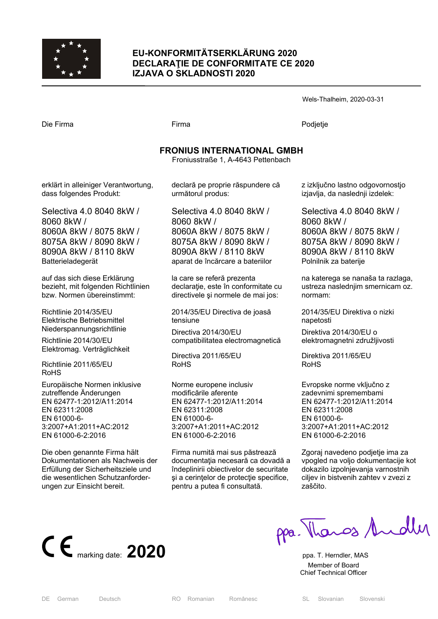

## **EU-KONFORMITÄTSERKLÄRUNG 2020 DECLARAŢIE DE CONFORMITATE CE 2020 IZJAVA O SKLADNOSTI 2020**

Wels-Thalheim, 2020-03-31

Die Firma Firma Podjetje

## **FRONIUS INTERNATIONAL GMBH**

Froniusstraße 1, A-4643 Pettenbach

erklärt in alleiniger Verantwortung, dass folgendes Produkt:

Selectiva 4.0 8040 8kW / 8060 8kW / 8060A 8kW / 8075 8kW / 8075A 8kW / 8090 8kW / 8090A 8kW / 8110 8kW Batterieladegerät

auf das sich diese Erklärung bezieht, mit folgenden Richtlinien bzw. Normen übereinstimmt:

Richtlinie 2014/35/EU Elektrische Betriebsmittel Niederspannungsrichtlinie

Richtlinie 2014/30/EU Elektromag. Verträglichkeit

Richtlinie 2011/65/EU RoHS

Europäische Normen inklusive zutreffende Änderungen EN 62477-1:2012/A11:2014 EN 62311:2008 EN 61000-6- 3:2007+A1:2011+AC:2012 EN 61000-6-2:2016

Die oben genannte Firma hält Dokumentationen als Nachweis der Erfüllung der Sicherheitsziele und die wesentlichen Schutzanforderungen zur Einsicht bereit.

declară pe proprie răspundere că următorul produs:

Selectiva 4.0 8040 8kW / 8060 8kW / 8060A 8kW / 8075 8kW / 8075A 8kW / 8090 8kW / 8090A 8kW / 8110 8kW aparat de încărcare a bateriilor

la care se referă prezenta declaratie, este în conformitate cu directivele şi normele de mai jos:

2014/35/EU Directiva de joasă tensiune

Directiva 2014/30/EU compatibilitatea electromagnetică

Directiva 2011/65/EU RoHS

Norme europene inclusiv modificările aferente EN 62477-1:2012/A11:2014 EN 62311:2008 EN 61000-6- 3:2007+A1:2011+AC:2012 EN 61000-6-2:2016

Firma numită mai sus păstrează documentaţia necesară ca dovadă a îndeplinirii obiectivelor de securitate şi a cerinţelor de protecţie specifice, pentru a putea fi consultată.

z izključno lastno odgovornostjo izjavlja, da naslednji izdelek:

Selectiva 4.0 8040 8kW / 8060 8kW / 8060A 8kW / 8075 8kW / 8075A 8kW / 8090 8kW / 8090A 8kW / 8110 8kW Polnilnik za baterije

na katerega se nanaša ta razlaga, ustreza naslednjim smernicam oz. normam:

2014/35/EU Direktiva o nizki napetosti

Direktiva 2014/30/EU o elektromagnetni združljivosti

Direktiva 2011/65/EU RoHS

Evropske norme vključno z zadevnimi spremembami EN 62477-1:2012/A11:2014 EN 62311:2008 EN 61000-6- 3:2007+A1:2011+AC:2012 EN 61000-6-2:2016

Zgoraj navedeno podjetje ima za vpogled na voljo dokumentacije kot dokazilo izpolnjevanja varnostnih ciljev in bistvenih zahtev v zvezi z zaščito.



ppa. Thanos Andley

 Member of Board Chief Technical Officer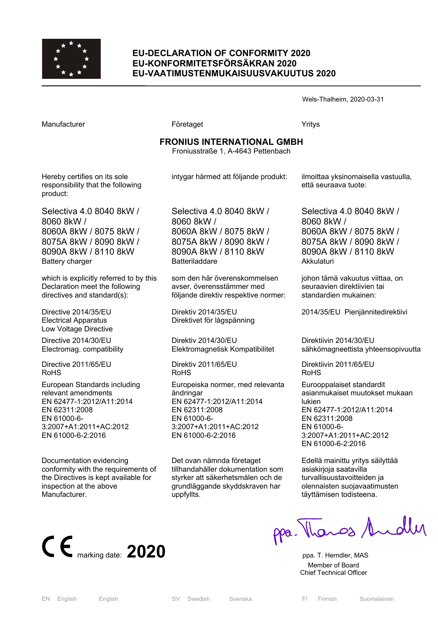

### **EU-DECLARATION OF CONFORMITY 2020 EU-KONFORMITETSFÖRSÄKRAN 2020 EU-VAATIMUSTENMUKAISUUSVAKUUTUS 2020**

Wels-Thalheim, 2020-03-31

| Manufacturer                                                                                                                                                   | Företaget                                                                                                                                                | Yritys                                                                                                                                                                           |
|----------------------------------------------------------------------------------------------------------------------------------------------------------------|----------------------------------------------------------------------------------------------------------------------------------------------------------|----------------------------------------------------------------------------------------------------------------------------------------------------------------------------------|
| <b>FRONIUS INTERNATIONAL GMBH</b><br>Froniusstraße 1, A-4643 Pettenbach                                                                                        |                                                                                                                                                          |                                                                                                                                                                                  |
| Hereby certifies on its sole<br>responsibility that the following<br>product:                                                                                  | intygar härmed att följande produkt:                                                                                                                     | ilmoittaa yksinomaisella vastuulla,<br>että seuraava tuote:                                                                                                                      |
| Selectiva 4.0 8040 8kW /<br>8060 8kW /<br>8060A 8kW / 8075 8kW /<br>8075A 8kW / 8090 8kW /<br>8090A 8kW / 8110 8kW<br>Battery charger                          | Selectiva 4.0 8040 8kW /<br>8060 8kW /<br>8060A 8kW / 8075 8kW /<br>8075A 8kW / 8090 8kW /<br>8090A 8kW / 8110 8kW<br>Batteriladdare                     | Selectiva 4.0 8040 8kW /<br>8060 8kW /<br>8060A 8kW / 8075 8kW /<br>8075A 8kW / 8090 8kW /<br>8090A 8kW / 8110 8kW<br>Akkulaturi                                                 |
| which is explicitly referred to by this<br>Declaration meet the following<br>directives and standard(s):                                                       | som den här överenskommelsen<br>avser, överensstämmer med<br>följande direktiv respektive normer:                                                        | johon tämä vakuutus viittaa, on<br>seuraavien direktiivien tai<br>standardien mukainen:                                                                                          |
| Directive 2014/35/EU<br><b>Electrical Apparatus</b><br>Low Voltage Directive                                                                                   | Direktiv 2014/35/EU<br>Direktivet för lågspänning                                                                                                        | 2014/35/EU Pienjännitedirektiivi                                                                                                                                                 |
| Directive 2014/30/EU<br>Electromag. compatibility                                                                                                              | Direktiv 2014/30/EU<br>Elektromagnetisk Kompatibilitet                                                                                                   | Direktiivin 2014/30/EU<br>sähkömagneettista yhteensopivuutta                                                                                                                     |
| Directive 2011/65/EU<br>RoHS                                                                                                                                   | Direktiv 2011/65/EU<br>RoHS                                                                                                                              | Direktiivin 2011/65/EU<br><b>RoHS</b>                                                                                                                                            |
| European Standards including<br>relevant amendments<br>EN 62477-1:2012/A11:2014<br>EN 62311:2008<br>EN 61000-6-<br>3:2007+A1:2011+AC:2012<br>EN 61000-6-2:2016 | Europeiska normer, med relevanta<br>ändringar<br>EN 62477-1:2012/A11:2014<br>EN 62311:2008<br>EN 61000-6-<br>3:2007+A1:2011+AC:2012<br>EN 61000-6-2:2016 | Eurooppalaiset standardit<br>asianmukaiset muutokset mukaan<br>lukien<br>EN 62477-1:2012/A11:2014<br>EN 62311:2008<br>EN 61000-6-<br>3:2007+A1:2011+AC:2012<br>EN 61000-6-2:2016 |
| Documentation evidencing                                                                                                                                       | Det ovan nämnda företaget                                                                                                                                | Edellä mainittu yritys säilyttää                                                                                                                                                 |

conformity with the requirements of the Directives is kept available for inspection at the above Manufacturer.



asiakirjoja saatavilla turvallisuustavoitteiden ja olennaisten suojavaatimusten täyttämisen todisteena.



CE marking date: 2020 **ppa.** Thange Andly

 Member of Board Chief Technical Officer